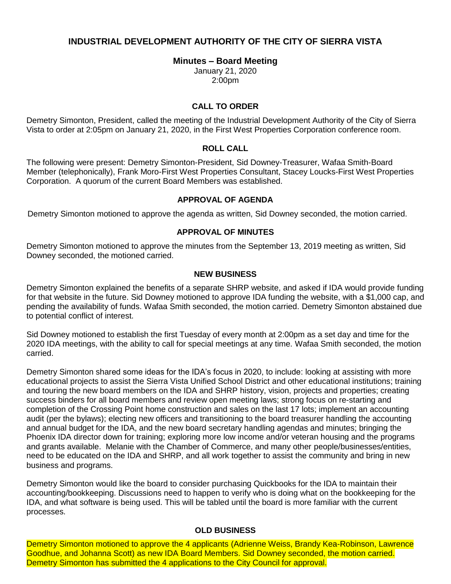# **INDUSTRIAL DEVELOPMENT AUTHORITY OF THE CITY OF SIERRA VISTA**

### **Minutes – Board Meeting**

January 21, 2020 2:00pm

### **CALL TO ORDER**

Demetry Simonton, President, called the meeting of the Industrial Development Authority of the City of Sierra Vista to order at 2:05pm on January 21, 2020, in the First West Properties Corporation conference room.

#### **ROLL CALL**

The following were present: Demetry Simonton-President, Sid Downey-Treasurer, Wafaa Smith-Board Member (telephonically), Frank Moro-First West Properties Consultant, Stacey Loucks-First West Properties Corporation. A quorum of the current Board Members was established.

#### **APPROVAL OF AGENDA**

Demetry Simonton motioned to approve the agenda as written, Sid Downey seconded, the motion carried.

#### **APPROVAL OF MINUTES**

Demetry Simonton motioned to approve the minutes from the September 13, 2019 meeting as written, Sid Downey seconded, the motioned carried.

#### **NEW BUSINESS**

Demetry Simonton explained the benefits of a separate SHRP website, and asked if IDA would provide funding for that website in the future. Sid Downey motioned to approve IDA funding the website, with a \$1,000 cap, and pending the availability of funds. Wafaa Smith seconded, the motion carried. Demetry Simonton abstained due to potential conflict of interest.

Sid Downey motioned to establish the first Tuesday of every month at 2:00pm as a set day and time for the 2020 IDA meetings, with the ability to call for special meetings at any time. Wafaa Smith seconded, the motion carried.

Demetry Simonton shared some ideas for the IDA's focus in 2020, to include: looking at assisting with more educational projects to assist the Sierra Vista Unified School District and other educational institutions; training and touring the new board members on the IDA and SHRP history, vision, projects and properties; creating success binders for all board members and review open meeting laws; strong focus on re-starting and completion of the Crossing Point home construction and sales on the last 17 lots; implement an accounting audit (per the bylaws); electing new officers and transitioning to the board treasurer handling the accounting and annual budget for the IDA, and the new board secretary handling agendas and minutes; bringing the Phoenix IDA director down for training; exploring more low income and/or veteran housing and the programs and grants available. Melanie with the Chamber of Commerce, and many other people/businesses/entities, need to be educated on the IDA and SHRP, and all work together to assist the community and bring in new business and programs.

Demetry Simonton would like the board to consider purchasing Quickbooks for the IDA to maintain their accounting/bookkeeping. Discussions need to happen to verify who is doing what on the bookkeeping for the IDA, and what software is being used. This will be tabled until the board is more familiar with the current processes.

## **OLD BUSINESS**

Demetry Simonton motioned to approve the 4 applicants (Adrienne Weiss, Brandy Kea-Robinson, Lawrence Goodhue, and Johanna Scott) as new IDA Board Members. Sid Downey seconded, the motion carried. Demetry Simonton has submitted the 4 applications to the City Council for approval.